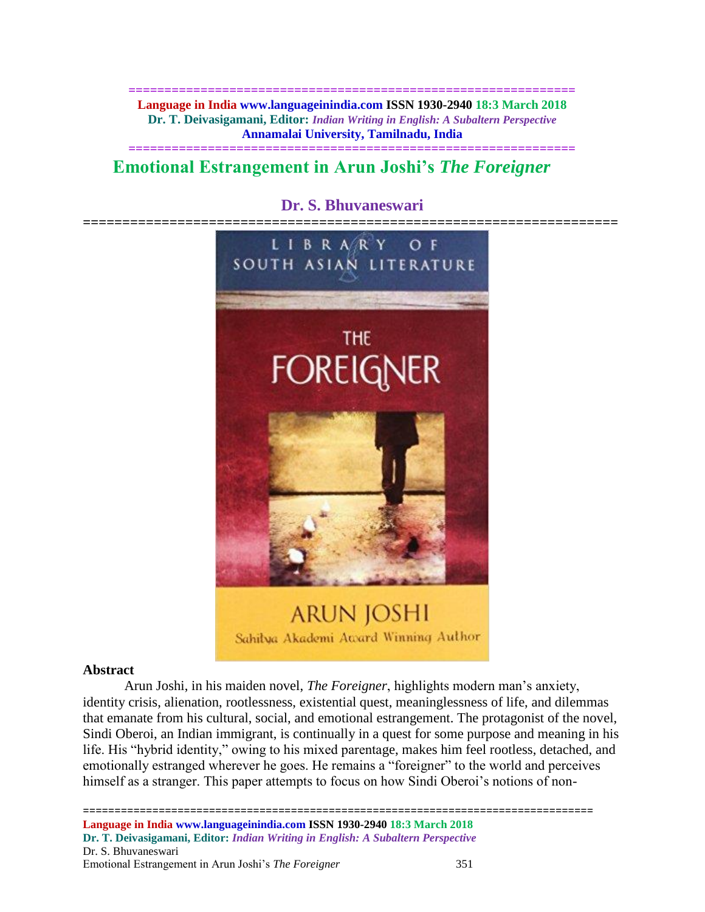**============================================================== Language in India www.languageinindia.com ISSN 1930-2940 18:3 March 2018 Dr. T. Deivasigamani, Editor:** *Indian Writing in English: A Subaltern Perspective* **Annamalai University, Tamilnadu, India**

**==============================================================**

# **Emotional Estrangement in Arun Joshi's** *The Foreigner*

# **Dr. S. Bhuvaneswari**



# **Abstract**

Arun Joshi, in his maiden novel, *The Foreigner*, highlights modern man's anxiety, identity crisis, alienation, rootlessness, existential quest, meaninglessness of life, and dilemmas that emanate from his cultural, social, and emotional estrangement. The protagonist of the novel, Sindi Oberoi, an Indian immigrant, is continually in a quest for some purpose and meaning in his life. His "hybrid identity," owing to his mixed parentage, makes him feel rootless, detached, and emotionally estranged wherever he goes. He remains a "foreigner" to the world and perceives himself as a stranger. This paper attempts to focus on how Sindi Oberoi's notions of non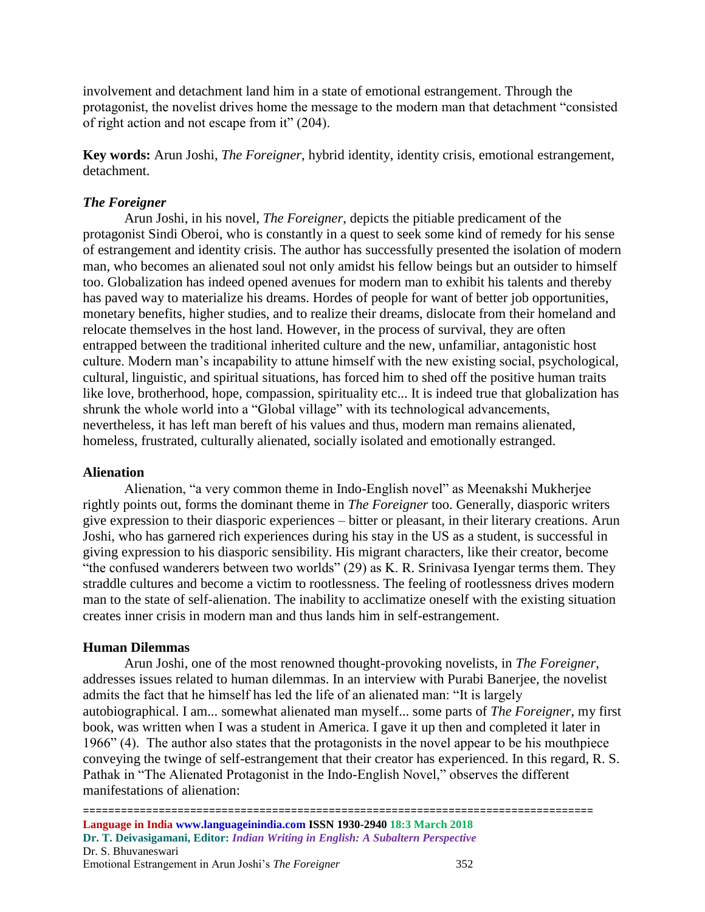involvement and detachment land him in a state of emotional estrangement. Through the protagonist, the novelist drives home the message to the modern man that detachment "consisted of right action and not escape from it" (204).

**Key words:** Arun Joshi, *The Foreigner*, hybrid identity, identity crisis, emotional estrangement, detachment.

# *The Foreigner*

Arun Joshi, in his novel, *The Foreigner*, depicts the pitiable predicament of the protagonist Sindi Oberoi, who is constantly in a quest to seek some kind of remedy for his sense of estrangement and identity crisis. The author has successfully presented the isolation of modern man, who becomes an alienated soul not only amidst his fellow beings but an outsider to himself too. Globalization has indeed opened avenues for modern man to exhibit his talents and thereby has paved way to materialize his dreams. Hordes of people for want of better job opportunities, monetary benefits, higher studies, and to realize their dreams, dislocate from their homeland and relocate themselves in the host land. However, in the process of survival, they are often entrapped between the traditional inherited culture and the new, unfamiliar, antagonistic host culture. Modern man's incapability to attune himself with the new existing social, psychological, cultural, linguistic, and spiritual situations, has forced him to shed off the positive human traits like love, brotherhood, hope, compassion, spirituality etc... It is indeed true that globalization has shrunk the whole world into a "Global village" with its technological advancements, nevertheless, it has left man bereft of his values and thus, modern man remains alienated, homeless, frustrated, culturally alienated, socially isolated and emotionally estranged.

# **Alienation**

Alienation, "a very common theme in Indo-English novel" as Meenakshi Mukherjee rightly points out, forms the dominant theme in *The Foreigner* too. Generally, diasporic writers give expression to their diasporic experiences – bitter or pleasant, in their literary creations. Arun Joshi, who has garnered rich experiences during his stay in the US as a student, is successful in giving expression to his diasporic sensibility. His migrant characters, like their creator, become "the confused wanderers between two worlds" (29) as K. R. Srinivasa Iyengar terms them. They straddle cultures and become a victim to rootlessness. The feeling of rootlessness drives modern man to the state of self-alienation. The inability to acclimatize oneself with the existing situation creates inner crisis in modern man and thus lands him in self-estrangement.

# **Human Dilemmas**

Arun Joshi, one of the most renowned thought-provoking novelists, in *The Foreigner,*  addresses issues related to human dilemmas. In an interview with Purabi Banerjee, the novelist admits the fact that he himself has led the life of an alienated man: "It is largely autobiographical. I am... somewhat alienated man myself... some parts of *The Foreigner*, my first book, was written when I was a student in America. I gave it up then and completed it later in 1966" (4). The author also states that the protagonists in the novel appear to be his mouthpiece conveying the twinge of self-estrangement that their creator has experienced. In this regard, R. S. Pathak in "The Alienated Protagonist in the Indo-English Novel," observes the different manifestations of alienation: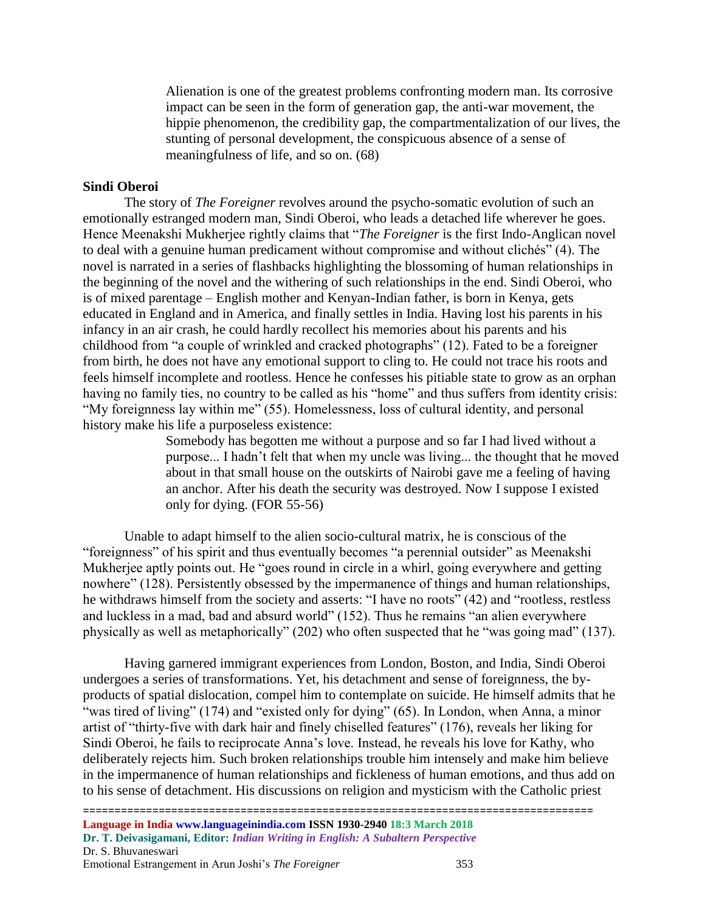Alienation is one of the greatest problems confronting modern man. Its corrosive impact can be seen in the form of generation gap, the anti-war movement, the hippie phenomenon, the credibility gap, the compartmentalization of our lives, the stunting of personal development, the conspicuous absence of a sense of meaningfulness of life, and so on. (68)

#### **Sindi Oberoi**

The story of *The Foreigner* revolves around the psycho-somatic evolution of such an emotionally estranged modern man, Sindi Oberoi, who leads a detached life wherever he goes. Hence Meenakshi Mukherjee rightly claims that "*The Foreigner* is the first Indo-Anglican novel to deal with a genuine human predicament without compromise and without clichés" (4). The novel is narrated in a series of flashbacks highlighting the blossoming of human relationships in the beginning of the novel and the withering of such relationships in the end. Sindi Oberoi, who is of mixed parentage – English mother and Kenyan-Indian father, is born in Kenya, gets educated in England and in America, and finally settles in India. Having lost his parents in his infancy in an air crash, he could hardly recollect his memories about his parents and his childhood from "a couple of wrinkled and cracked photographs" (12). Fated to be a foreigner from birth, he does not have any emotional support to cling to. He could not trace his roots and feels himself incomplete and rootless. Hence he confesses his pitiable state to grow as an orphan having no family ties, no country to be called as his "home" and thus suffers from identity crisis: "My foreignness lay within me" (55). Homelessness, loss of cultural identity, and personal history make his life a purposeless existence:

> Somebody has begotten me without a purpose and so far I had lived without a purpose... I hadn't felt that when my uncle was living... the thought that he moved about in that small house on the outskirts of Nairobi gave me a feeling of having an anchor. After his death the security was destroyed. Now I suppose I existed only for dying. (FOR 55-56)

Unable to adapt himself to the alien socio-cultural matrix, he is conscious of the "foreignness" of his spirit and thus eventually becomes "a perennial outsider" as Meenakshi Mukherjee aptly points out. He "goes round in circle in a whirl, going everywhere and getting nowhere" (128). Persistently obsessed by the impermanence of things and human relationships, he withdraws himself from the society and asserts: "I have no roots" (42) and "rootless, restless and luckless in a mad, bad and absurd world" (152). Thus he remains "an alien everywhere physically as well as metaphorically" (202) who often suspected that he "was going mad" (137).

Having garnered immigrant experiences from London, Boston, and India, Sindi Oberoi undergoes a series of transformations. Yet, his detachment and sense of foreignness, the byproducts of spatial dislocation, compel him to contemplate on suicide. He himself admits that he "was tired of living" (174) and "existed only for dying" (65). In London, when Anna, a minor artist of "thirty-five with dark hair and finely chiselled features" (176), reveals her liking for Sindi Oberoi, he fails to reciprocate Anna's love. Instead, he reveals his love for Kathy, who deliberately rejects him. Such broken relationships trouble him intensely and make him believe in the impermanence of human relationships and fickleness of human emotions, and thus add on to his sense of detachment. His discussions on religion and mysticism with the Catholic priest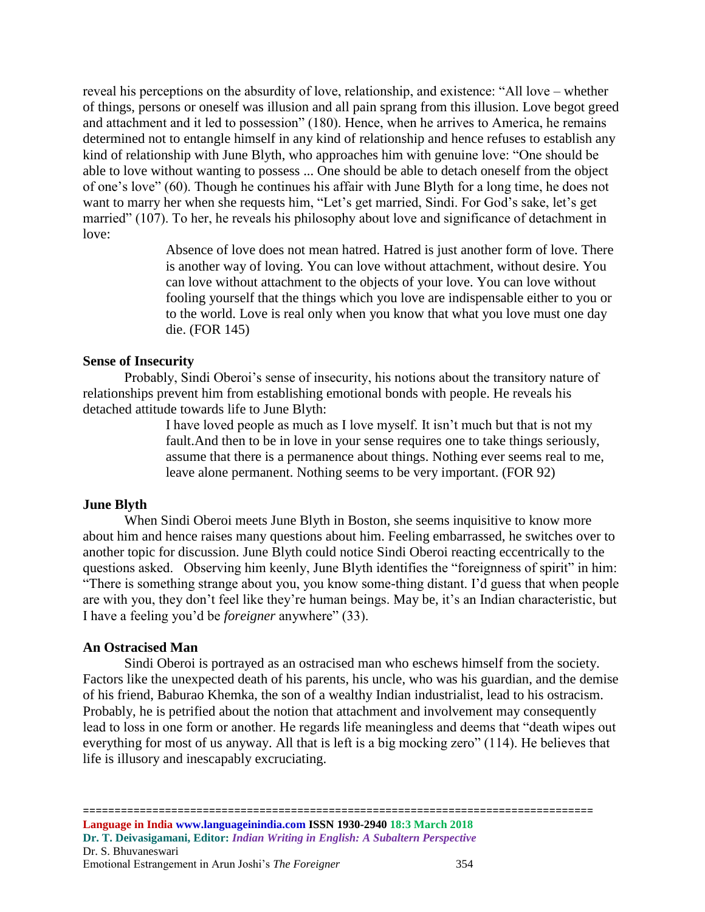reveal his perceptions on the absurdity of love, relationship, and existence: "All love – whether of things, persons or oneself was illusion and all pain sprang from this illusion. Love begot greed and attachment and it led to possession" (180). Hence, when he arrives to America, he remains determined not to entangle himself in any kind of relationship and hence refuses to establish any kind of relationship with June Blyth, who approaches him with genuine love: "One should be able to love without wanting to possess ... One should be able to detach oneself from the object of one's love" (60). Though he continues his affair with June Blyth for a long time, he does not want to marry her when she requests him, "Let's get married, Sindi. For God's sake, let's get married" (107). To her, he reveals his philosophy about love and significance of detachment in love:

> Absence of love does not mean hatred. Hatred is just another form of love. There is another way of loving. You can love without attachment, without desire. You can love without attachment to the objects of your love. You can love without fooling yourself that the things which you love are indispensable either to you or to the world. Love is real only when you know that what you love must one day die. (FOR 145)

#### **Sense of Insecurity**

Probably, Sindi Oberoi's sense of insecurity, his notions about the transitory nature of relationships prevent him from establishing emotional bonds with people. He reveals his detached attitude towards life to June Blyth:

> I have loved people as much as I love myself. It isn't much but that is not my fault.And then to be in love in your sense requires one to take things seriously, assume that there is a permanence about things. Nothing ever seems real to me, leave alone permanent. Nothing seems to be very important. (FOR 92)

#### **June Blyth**

When Sindi Oberoi meets June Blyth in Boston, she seems inquisitive to know more about him and hence raises many questions about him. Feeling embarrassed, he switches over to another topic for discussion. June Blyth could notice Sindi Oberoi reacting eccentrically to the questions asked. Observing him keenly, June Blyth identifies the "foreignness of spirit" in him: "There is something strange about you, you know some-thing distant. I'd guess that when people are with you, they don't feel like they're human beings. May be, it's an Indian characteristic, but I have a feeling you'd be *foreigner* anywhere" (33).

#### **An Ostracised Man**

Sindi Oberoi is portrayed as an ostracised man who eschews himself from the society. Factors like the unexpected death of his parents, his uncle, who was his guardian, and the demise of his friend, Baburao Khemka, the son of a wealthy Indian industrialist, lead to his ostracism. Probably, he is petrified about the notion that attachment and involvement may consequently lead to loss in one form or another. He regards life meaningless and deems that "death wipes out everything for most of us anyway. All that is left is a big mocking zero" (114). He believes that life is illusory and inescapably excruciating.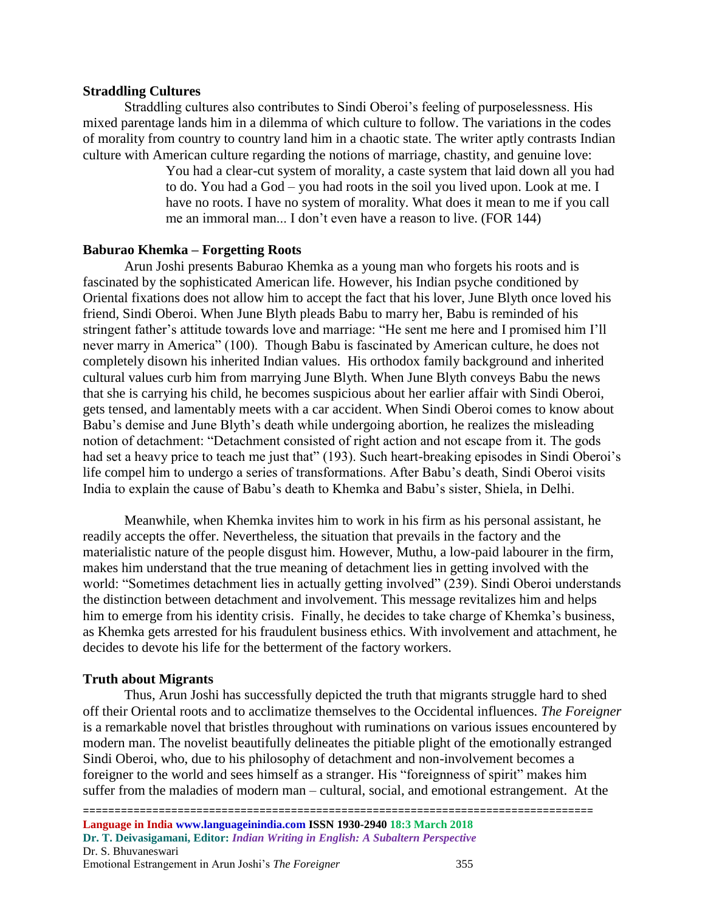#### **Straddling Cultures**

Straddling cultures also contributes to Sindi Oberoi's feeling of purposelessness. His mixed parentage lands him in a dilemma of which culture to follow. The variations in the codes of morality from country to country land him in a chaotic state. The writer aptly contrasts Indian culture with American culture regarding the notions of marriage, chastity, and genuine love:

> You had a clear-cut system of morality, a caste system that laid down all you had to do. You had a God – you had roots in the soil you lived upon. Look at me. I have no roots. I have no system of morality. What does it mean to me if you call me an immoral man... I don't even have a reason to live. (FOR 144)

#### **Baburao Khemka – Forgetting Roots**

Arun Joshi presents Baburao Khemka as a young man who forgets his roots and is fascinated by the sophisticated American life. However, his Indian psyche conditioned by Oriental fixations does not allow him to accept the fact that his lover, June Blyth once loved his friend, Sindi Oberoi. When June Blyth pleads Babu to marry her, Babu is reminded of his stringent father's attitude towards love and marriage: "He sent me here and I promised him I'll never marry in America" (100). Though Babu is fascinated by American culture, he does not completely disown his inherited Indian values. His orthodox family background and inherited cultural values curb him from marrying June Blyth. When June Blyth conveys Babu the news that she is carrying his child, he becomes suspicious about her earlier affair with Sindi Oberoi, gets tensed, and lamentably meets with a car accident. When Sindi Oberoi comes to know about Babu's demise and June Blyth's death while undergoing abortion, he realizes the misleading notion of detachment: "Detachment consisted of right action and not escape from it. The gods had set a heavy price to teach me just that" (193). Such heart-breaking episodes in Sindi Oberoi's life compel him to undergo a series of transformations. After Babu's death, Sindi Oberoi visits India to explain the cause of Babu's death to Khemka and Babu's sister, Shiela, in Delhi.

Meanwhile, when Khemka invites him to work in his firm as his personal assistant, he readily accepts the offer. Nevertheless, the situation that prevails in the factory and the materialistic nature of the people disgust him. However, Muthu, a low-paid labourer in the firm, makes him understand that the true meaning of detachment lies in getting involved with the world: "Sometimes detachment lies in actually getting involved" (239). Sindi Oberoi understands the distinction between detachment and involvement. This message revitalizes him and helps him to emerge from his identity crisis. Finally, he decides to take charge of Khemka's business, as Khemka gets arrested for his fraudulent business ethics. With involvement and attachment, he decides to devote his life for the betterment of the factory workers.

#### **Truth about Migrants**

Thus, Arun Joshi has successfully depicted the truth that migrants struggle hard to shed off their Oriental roots and to acclimatize themselves to the Occidental influences. *The Foreigner* is a remarkable novel that bristles throughout with ruminations on various issues encountered by modern man. The novelist beautifully delineates the pitiable plight of the emotionally estranged Sindi Oberoi, who, due to his philosophy of detachment and non-involvement becomes a foreigner to the world and sees himself as a stranger. His "foreignness of spirit" makes him suffer from the maladies of modern man – cultural, social, and emotional estrangement. At the